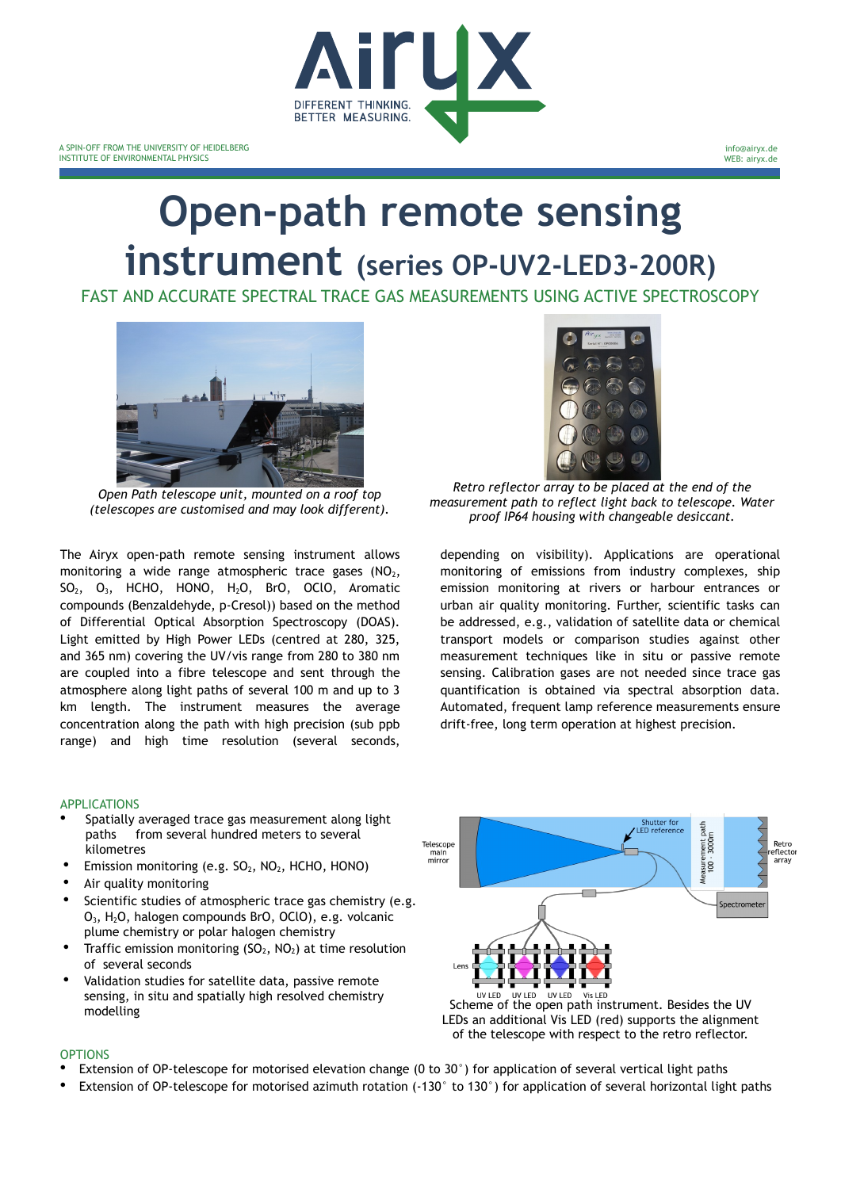

# **Open-path remote sensing instrument (series OP-UV2-LED3-200R)**

FAST AND ACCURATE SPECTRAL TRACE GAS MEASUREMENTS USING ACTIVE SPECTROSCOPY



*Open Path telescope unit, mounted on a roof top (telescopes are customised and may look different).*

The Airyx open-path remote sensing instrument allows monitoring a wide range atmospheric trace gases  $(NO<sub>2</sub>,$ SO2, O3, HCHO, HONO, H2O, BrO, OClO, Aromatic compounds (Benzaldehyde, p-Cresol)) based on the method of Differential Optical Absorption Spectroscopy (DOAS). Light emitted by High Power LEDs (centred at 280, 325, and 365 nm) covering the UV/vis range from 280 to 380 nm are coupled into a fibre telescope and sent through the atmosphere along light paths of several 100 m and up to 3 km length. The instrument measures the average concentration along the path with high precision (sub ppb range) and high time resolution (several seconds,

*Retro reflector array to be placed at the end of the measurement path to reflect light back to telescope. Water proof IP64 housing with changeable desiccant.*

depending on visibility). Applications are operational monitoring of emissions from industry complexes, ship emission monitoring at rivers or harbour entrances or urban air quality monitoring. Further, scientific tasks can be addressed, e.g., validation of satellite data or chemical transport models or comparison studies against other measurement techniques like in situ or passive remote sensing. Calibration gases are not needed since trace gas quantification is obtained via spectral absorption data. Automated, frequent lamp reference measurements ensure drift-free, long term operation at highest precision.

## APPLICATIONS

- Spatially averaged trace gas measurement along light paths from several hundred meters to several kilometres
- Emission monitoring (e.g. SO<sub>2</sub>, NO<sub>2</sub>, HCHO, HONO)
- Air quality monitoring
- Scientific studies of atmospheric trace gas chemistry (e.g. O3, H2O, halogen compounds BrO, OClO), e.g. volcanic plume chemistry or polar halogen chemistry
- Traffic emission monitoring  $(SO<sub>2</sub>, NO<sub>2</sub>)$  at time resolution of several seconds
- Validation studies for satellite data, passive remote sensing, in situ and spatially high resolved chemistry



### OPTIONS

- Extension of OP-telescope for motorised elevation change (0 to 30°) for application of several vertical light paths
- Extension of OP-telescope for motorised azimuth rotation (-130° to 130°) for application of several horizontal light paths